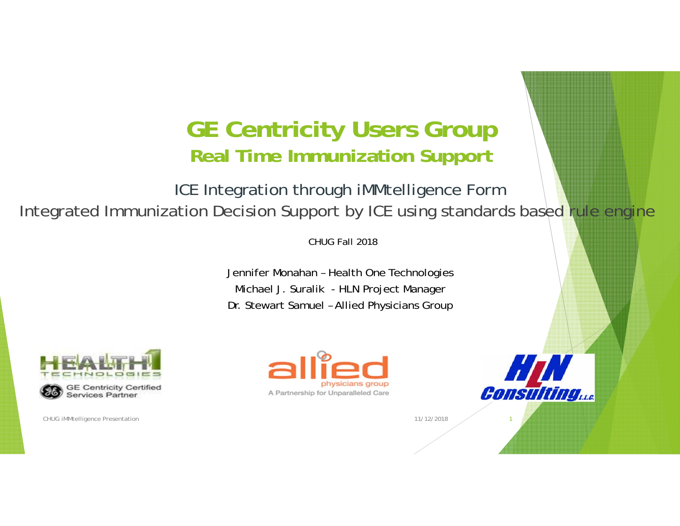#### **GE Centricity Users Group Real Time Immunization Support**

ICE Integration through iMMtelligence Form Integrated Immunization Decision Support by ICE using standards based rule engine

CHUG Fall 2018

Jennifer Monahan – Health One Technologies Michael J. Suralik - HLN Project Manager Dr. Stewart Samuel – Allied Physicians Group



**Services Partner** 

CHUG iMMtelligence Presentation 2002 12:00 12:00 12:00 12:00 12:00 12:00 12:00 12:00 12:00 12:00 12:00 12:00 12:00 12:00 12:00 12:00 12:00 12:00 12:00 12:00 12:00 12:00 12:00 12:00 12:00 12:00 12:00 12:00 12:00 12:00 12:00



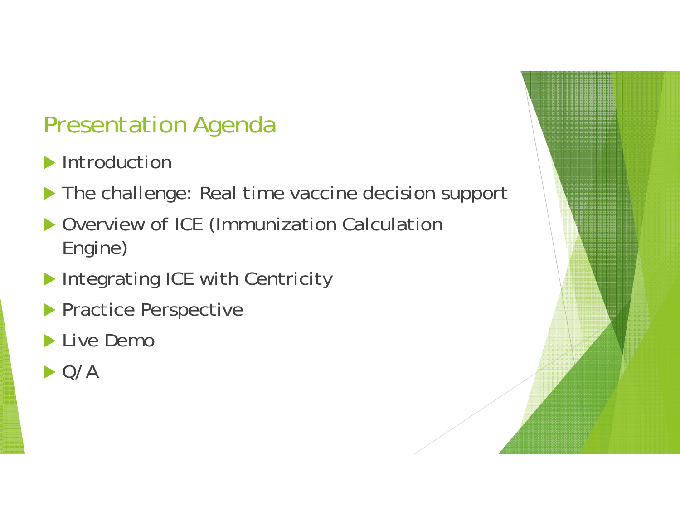## Presentation Agenda

- Introduction
- The challenge: Real time vaccine decision support
- ▶ Overview of ICE (Immunization Calculation Engine)
- Integrating ICE with Centricity
- **Practice Perspective**
- Live Demo
- $\blacktriangleright$  Q/A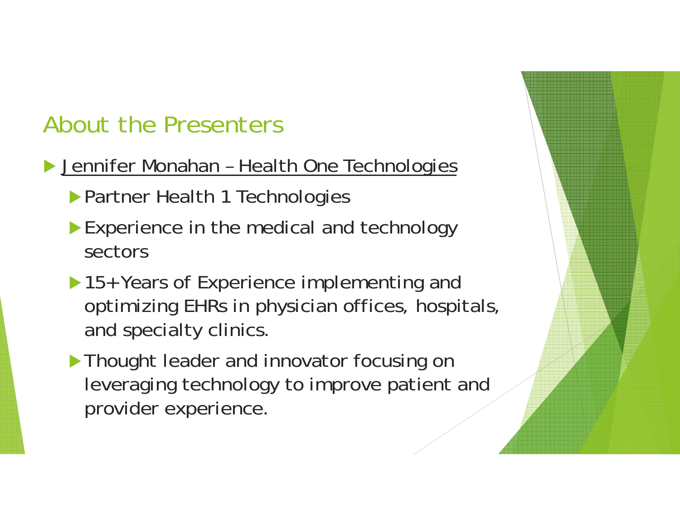## About the Presenters

- ▶ Jennifer Monahan Health One Technologies
	- **Partner Health 1 Technologies**
	- Experience in the medical and technology sectors
	- ▶ 15+ Years of Experience implementing and optimizing EHRs in physician offices, hospitals, and specialty clinics.
	- **Thought leader and innovator focusing on** leveraging technology to improve patient and provider experience.

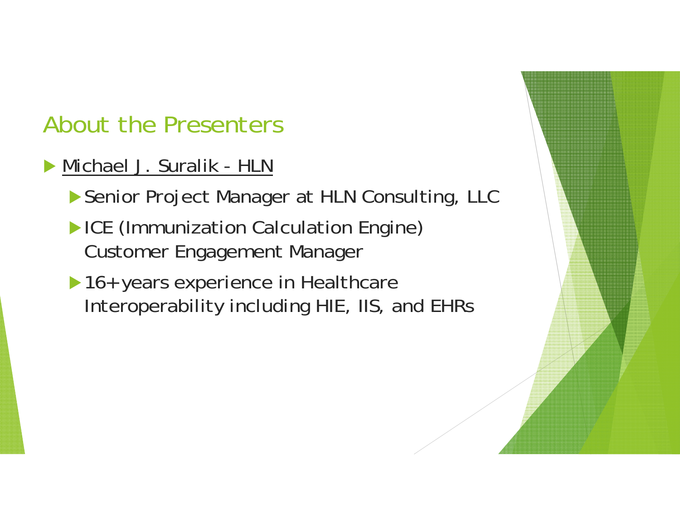## About the Presenters

- Michael J. Suralik HLN
	- ▶ Senior Project Manager at HLN Consulting, LLC
	- **ICE (Immunization Calculation Engine)** Customer Engagement Manager
	- ▶ 16+ years experience in Healthcare Interoperability including HIE, IIS, and EHRs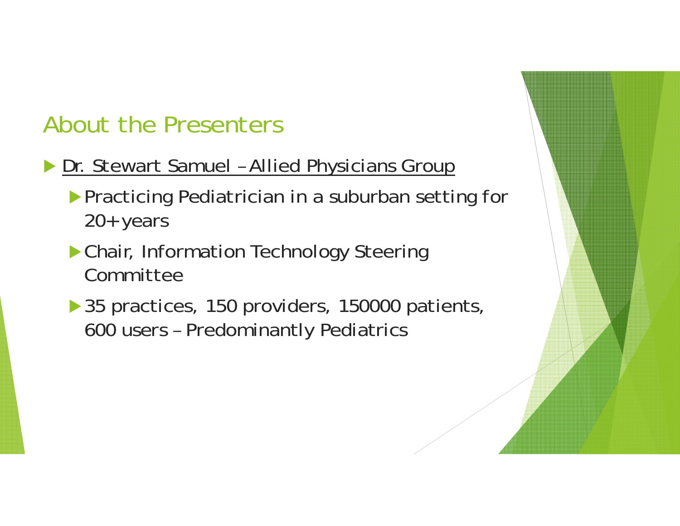## About the Presenters

- **Dr. Stewart Samuel Allied Physicians Group** 
	- **Practicing Pediatrician in a suburban setting for** 20+ years
	- Chair, Information Technology Steering Committee
	- ▶ 35 practices, 150 providers, 150000 patients, 600 users – Predominantly Pediatrics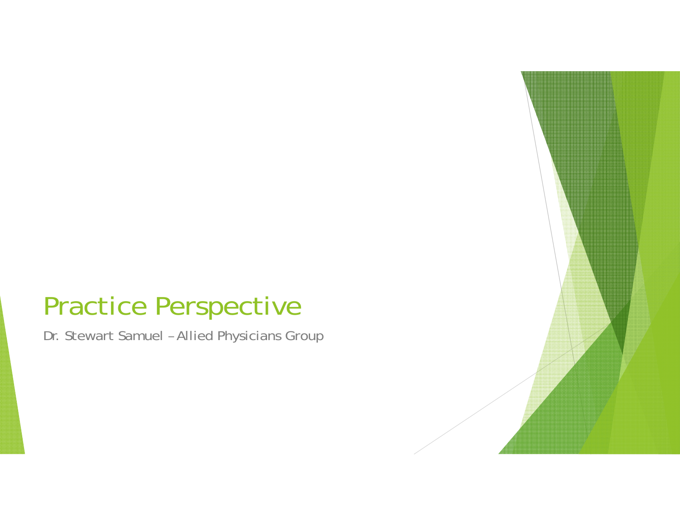# Practice Perspective

Dr. Stewart Samuel – Allied Physicians Group

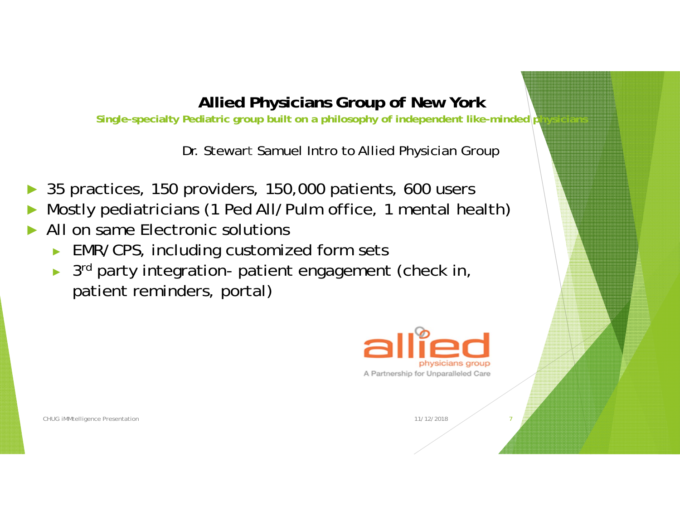#### **Allied Physicians Group of New York**

Single-specialty Pediatric group built on a philosophy of independent like-minded p

Dr. Stewar t Samuel Intro to Allied Physician Group

- ►35 practices, 150 providers, 150,000 patients, 600 users
- ►Mostly pediatricians (1 Ped All/Pulm office, 1 mental health)
- ► All on same Electronic solutions
	- ► EMR/CPS, including customized form sets
	- ► 3<sup>rd</sup> party integration- patient engagement (check in, patient reminders, portal)



CHUG iMMtelligence Presentation 2002 12:00 12:00 12:00 12:00 12:00 12:00 12:00 12:00 12:00 12:00 12:00 12:00 12:00 12:00 12:00 12:00 12:00 12:00 12:00 12:00 12:00 12:00 12:00 12:00 12:00 12:00 12:00 12:00 12:00 12:00 12:00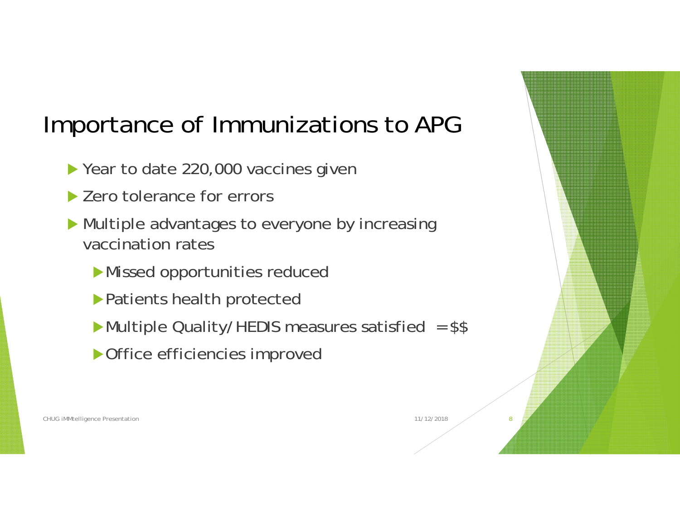## Importance of Immunizations to APG

- ▶ Year to date 220,000 vaccines given
- ▶ Zero tolerance for errors
- Multiple advantages to everyone by increasing vaccination rates
	- Missed opportunities reduced
	- Patients health protected
	- Multiple Quality/HEDIS measures satisfied = \$\$
	- Office efficiencies improved



CHUG iMMtelligence Presentation 2002 12:00 18:00 12:00 12:00 12:00 12:00 12:00 12:00 12:00 12:00 12:00 12:00 13:00 12:00 12:00 12:00 12:00 12:00 12:00 12:00 12:00 12:00 12:00 12:00 12:00 12:00 12:00 12:00 12:00 12:00 12:00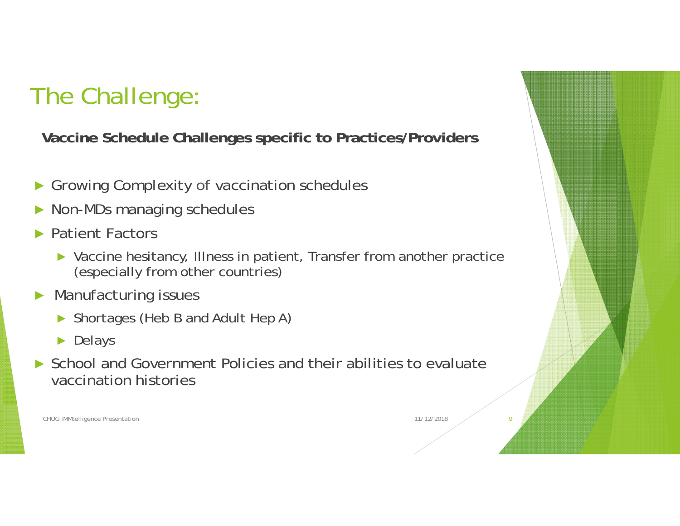# The Challenge:

**Vaccine Schedule Challenges specific to Practices/Providers**

- ►Growing Complexity of vaccination schedules
- ►Non-MDs managing schedules
- ► Patient Factors
	- ► Vaccine hesitancy, Illness in patient, Transfer from another practice (especially from other countries)
- ► Manufacturing issues
	- ► Shortages (Heb B and Adult Hep A)
	- ► Delays
- ► School and Government Policies and their abilities to evaluate vaccination histories

CHUG iMMtelligence Presentation 2002 12:00 18:00 12:00 12:00 12:00 12:00 12:00 12:00 12:00 12:00 12:00 12:00 13:00 12:00 12:00 12:00 12:00 12:00 12:00 12:00 12:00 12:00 12:00 12:00 12:00 12:00 12:00 12:00 12:00 12:00 12:00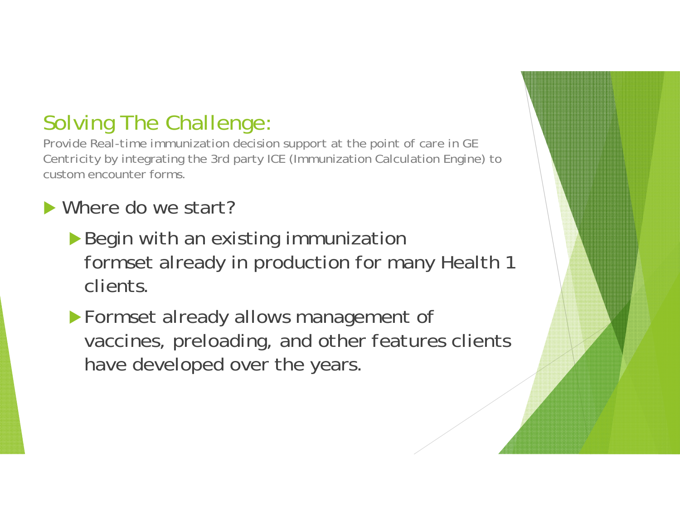#### Solving The Challenge:

*Provide Real-time immunization decision support at the point of care in GE Centricit*y by integrating the 3rd party ICE (Immunization Calculation Engine) to custom encounter forms.

#### ▶ Where do we start?

- Begin with an existing immunization formset already in production for many Health 1 clients.
- Formset already allows management of vaccines, preloading, and other features clients have developed over the years.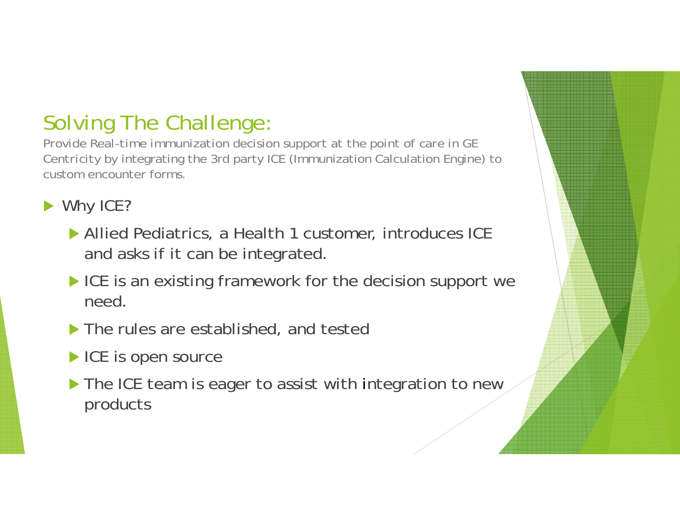### Solving The Challenge:

*Provide Real-time immunization decision support at the point of care in GE Centricit*y by integrating the 3rd party ICE (Immunization Calculation Engine) to custom encounter forms.

Why ICE?

- Allied Pediatrics, a Health 1 customer, introduces ICE and asks if it can be integrated.
- ICE is an existing framework for the decision support we need.
- **The rules are established, and tested**
- ICE is open source
- $\blacktriangleright$  The ICE team is eager to assist with integration to new products

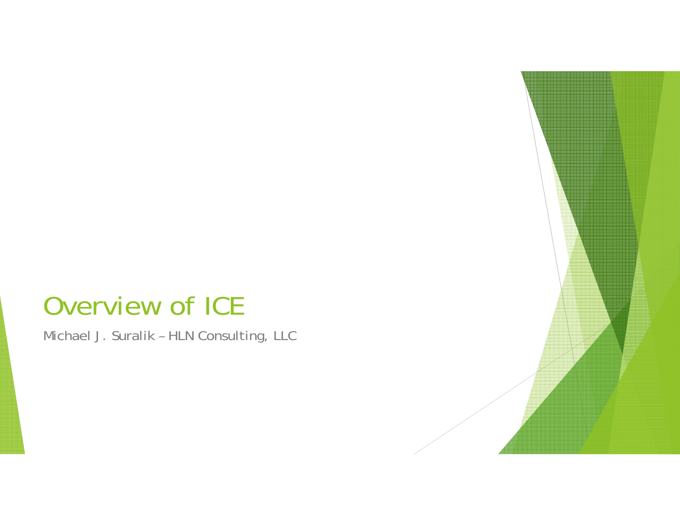## Overview of ICE

Michael J. Suralik – HLN Consulting, LLC

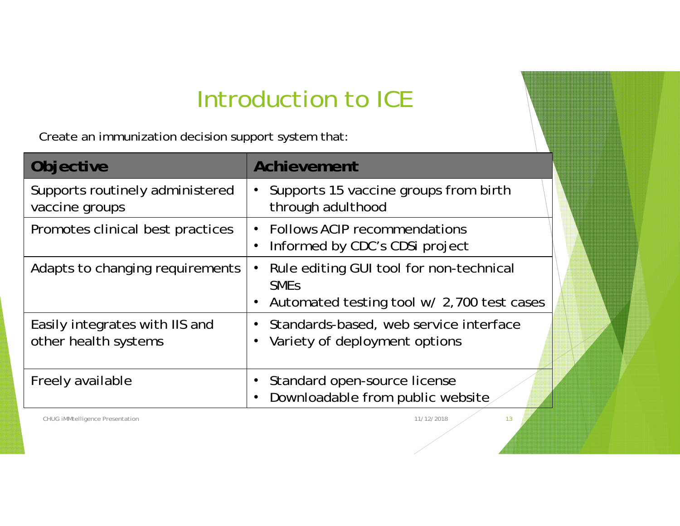## Introduction to ICE

Create an immunization decision support system that:

| Objective                                              | Achievement                                                                                                     |
|--------------------------------------------------------|-----------------------------------------------------------------------------------------------------------------|
| Supports routinely administered<br>vaccine groups      | Supports 15 vaccine groups from birth<br>through adulthood                                                      |
| Promotes clinical best practices                       | • Follows ACIP recommendations<br>Informed by CDC's CDSi project                                                |
| Adapts to changing requirements                        | Rule editing GUI tool for non-technical<br><b>SME<sub>S</sub></b><br>Automated testing tool w/ 2,700 test cases |
| Easily integrates with IIS and<br>other health systems | Standards-based, web service interface<br>Variety of deployment options                                         |
| Freely available                                       | Standard open-source license<br>Downloadable from public website                                                |

CHUG iMMtelligence Presentation 13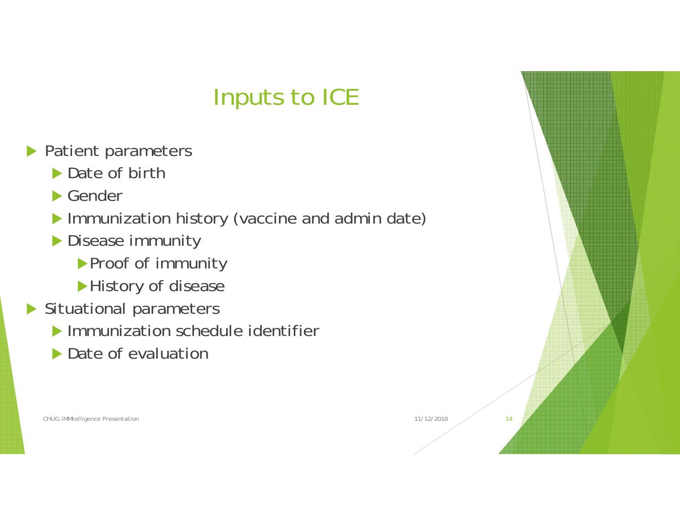## Inputs to ICE

- **Patient parameters** 
	- ▶ Date of birth
	- ▶ Gender
	- Immunization history (vaccine and admin date)
	- **Disease immunity** 
		- ▶ Proof of immunity
		- History of disease
- Situational parameters
	- **Immunization schedule identifier**
	- ▶ Date of evaluation

CHUG iMMtelligence Presentation 11/12/2018 214

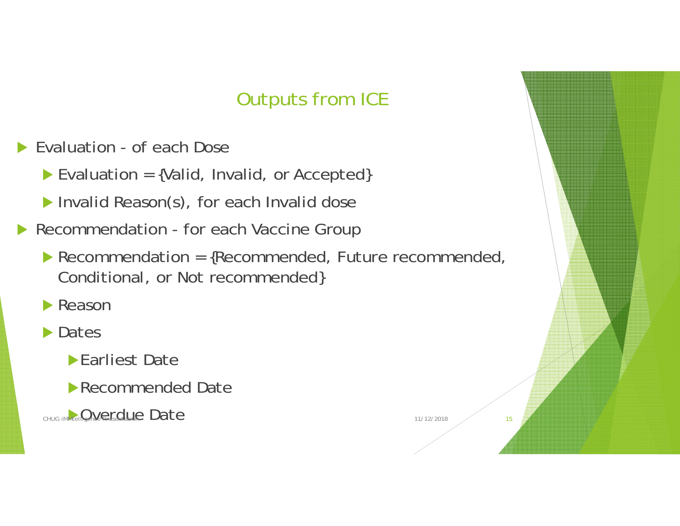#### Outputs from ICE

▶ Evaluation - of each Dose

Evaluation = {Valid, Invalid, or Accepted}

**Invalid Reason(s), for each Invalid dose** 

 $\blacktriangleright$ Recommendation - for each Vaccine Group

Recommendation = {Recommended, Future recommended, Conditional, or Not recommended}

**Reason** 

**Dates** 

**Earliest Date** 

Recommended Date

CHUG IMMTELRENCE FIGULE Date 15

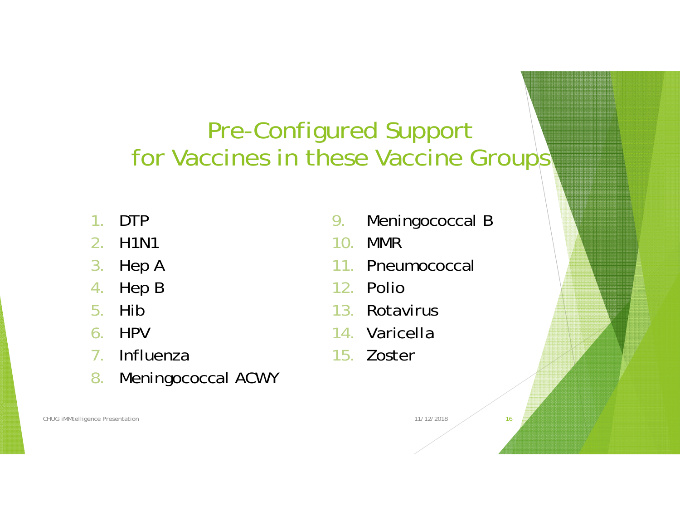## Pre-Configured Support for Vaccines in these Vaccine Groups'

- 1.DTP
- 2. H1N1
- 3.Hep A
- 4.Hep B
- 5.Hib
- 6. HPV
- 7. Influenza
- 8.Meningococcal ACWY

CHUG iMMtelligence Presentation 16 16 16 16 17/12/2018 16 16 17/12/2018

- 9.Meningococcal B
- 10. MMR
- 11. Pneumococcal
- 12. Polio
- 13. Rotavirus
- 14. Varicella
- 15. Zoster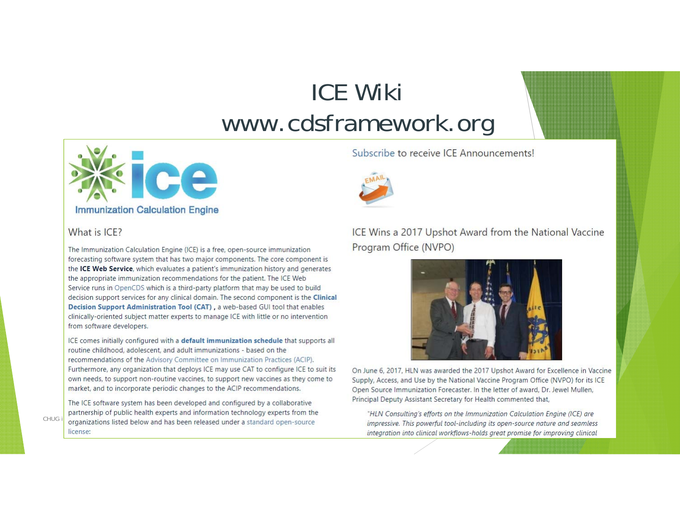## ICE Wikiwww.cdsframework.org



#### What is ICE?

The Immunization Calculation Engine (ICE) is a free, open-source immunization forecasting software system that has two major components. The core component is the ICE Web Service, which evaluates a patient's immunization history and generates the appropriate immunization recommendations for the patient. The ICE Web Service runs in OpenCDS which is a third-party platform that may be used to build decision support services for any clinical domain. The second component is the Clinical Decision Support Administration Tool (CAT), a web-based GUI tool that enables clinically-oriented subject matter experts to manage ICE with little or no intervention from software developers.

ICE comes initially configured with a default immunization schedule that supports all routine childhood, adolescent, and adult immunizations - based on the recommendations of the Advisory Committee on Immunization Practices (ACIP). Furthermore, any organization that deploys ICE may use CAT to configure ICE to suit its own needs, to support non-routine vaccines, to support new vaccines as they come to market, and to incorporate periodic changes to the ACIP recommendations.

The ICE software system has been developed and configured by a collaborative partnership of public health experts and information technology experts from the partnership of public health experts and information technology experts from the<br>CHUG is repressive. This powerful tool-including its open-source and treaty organizations listed below and has been released under a standard license:

#### Subscribe to receive ICE Announcements!



ICE Wins a 2017 Upshot Award from the National Vaccine Program Office (NVPO)



On June 6, 2017, HLN was awarded the 2017 Upshot Award for Excellence in Vaccine Supply, Access, and Use by the National Vaccine Program Office (NVPO) for its ICE Open Source Immunization Forecaster. In the letter of award, Dr. Jewel Mullen, Principal Deputy Assistant Secretary for Health commented that,

integration into clinical workflows-holds great promise for improving clinical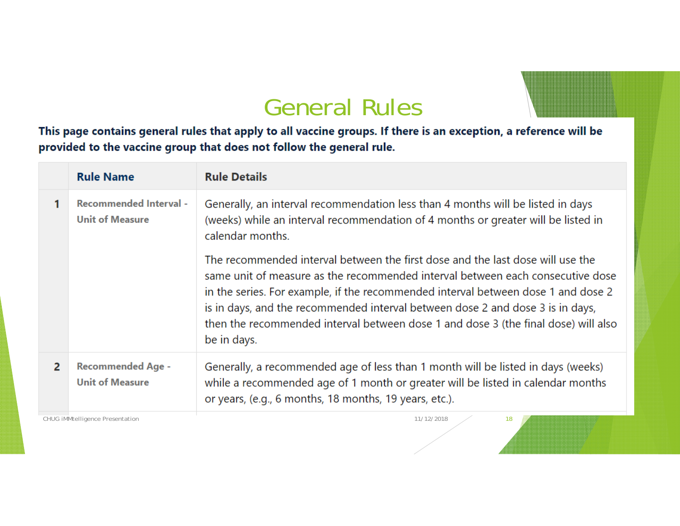### General Rules

This page contains general rules that apply to all vaccine groups. If there is an exception, a reference will be provided to the vaccine group that does not follow the general rule.

|                | <b>Rule Name</b>                                        | <b>Rule Details</b>                                                                                                                                                                                                                                                                                                                                                                                                                          |
|----------------|---------------------------------------------------------|----------------------------------------------------------------------------------------------------------------------------------------------------------------------------------------------------------------------------------------------------------------------------------------------------------------------------------------------------------------------------------------------------------------------------------------------|
|                | <b>Recommended Interval -</b><br><b>Unit of Measure</b> | Generally, an interval recommendation less than 4 months will be listed in days<br>(weeks) while an interval recommendation of 4 months or greater will be listed in<br>calendar months.                                                                                                                                                                                                                                                     |
|                |                                                         | The recommended interval between the first dose and the last dose will use the<br>same unit of measure as the recommended interval between each consecutive dose<br>in the series. For example, if the recommended interval between dose 1 and dose 2<br>is in days, and the recommended interval between dose 2 and dose 3 is in days,<br>then the recommended interval between dose 1 and dose 3 (the final dose) will also<br>be in days. |
| $\overline{2}$ | <b>Recommended Age -</b><br><b>Unit of Measure</b>      | Generally, a recommended age of less than 1 month will be listed in days (weeks)<br>while a recommended age of 1 month or greater will be listed in calendar months<br>or years, (e.g., 6 months, 18 months, 19 years, etc.).                                                                                                                                                                                                                |
|                | <b>CHUG iMMtelligence Presentation</b>                  | 11/12/2018<br>18                                                                                                                                                                                                                                                                                                                                                                                                                             |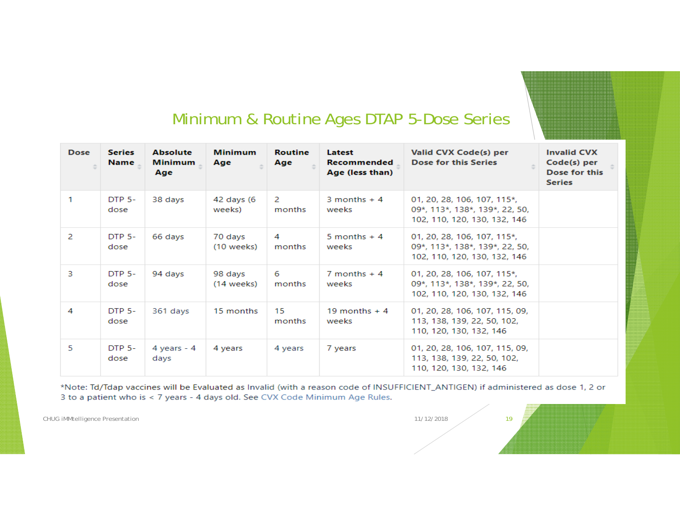#### Minimum & Routine Ages DTAP 5-Dose Series

| <b>Dose</b> | <b>Series</b><br><b>Name</b> | <b>Absolute</b><br><b>Minimum</b><br>Age | <b>Minimum</b><br>Age   | <b>Routine</b><br>Age | Latest<br><b>Recommended</b><br>Age (less than) | Valid CVX Code(s) per<br><b>Dose for this Series</b>                                          | <b>Invalid CVX</b><br>Code(s) per<br>Dose for this<br><b>Series</b> |
|-------------|------------------------------|------------------------------------------|-------------------------|-----------------------|-------------------------------------------------|-----------------------------------------------------------------------------------------------|---------------------------------------------------------------------|
|             | <b>DTP 5-</b><br>dose        | 38 days                                  | 42 days (6<br>weeks)    | 2<br>months           | 3 months $+4$<br>weeks                          | 01, 20, 28, 106, 107, 115*,<br>09*, 113*, 138*, 139*, 22, 50,<br>102, 110, 120, 130, 132, 146 |                                                                     |
| 2           | <b>DTP 5-</b><br>dose        | 66 days                                  | 70 days<br>$(10$ weeks) | 4<br>months           | 5 months $+4$<br>weeks                          | 01, 20, 28, 106, 107, 115*,<br>09*, 113*, 138*, 139*, 22, 50,<br>102, 110, 120, 130, 132, 146 |                                                                     |
| 3           | DTP 5-<br>dose               | 94 days                                  | 98 days<br>$(14$ weeks) | 6<br>months           | $7$ months $+4$<br>weeks                        | 01, 20, 28, 106, 107, 115*,<br>09*, 113*, 138*, 139*, 22, 50,<br>102, 110, 120, 130, 132, 146 |                                                                     |
| 4           | <b>DTP 5-</b><br>dose        | 361 days                                 | 15 months               | 15<br>months          | 19 months $+4$<br>weeks                         | 01, 20, 28, 106, 107, 115, 09,<br>113, 138, 139, 22, 50, 102,<br>110, 120, 130, 132, 146      |                                                                     |
| 5           | <b>DTP 5-</b><br>dose        | 4 years $-4$<br>days                     | 4 years                 | 4 years               | 7 years                                         | 01, 20, 28, 106, 107, 115, 09,<br>113, 138, 139, 22, 50, 102,<br>110, 120, 130, 132, 146      |                                                                     |

\*Note: Td/Tdap vaccines will be Evaluated as Invalid (with a reason code of INSUFFICIENT\_ANTIGEN) if administered as dose 1, 2 or 3 to a patient who is < 7 years - 4 days old. See CVX Code Minimum Age Rules.

CHUG iMMtelligence Presentation 19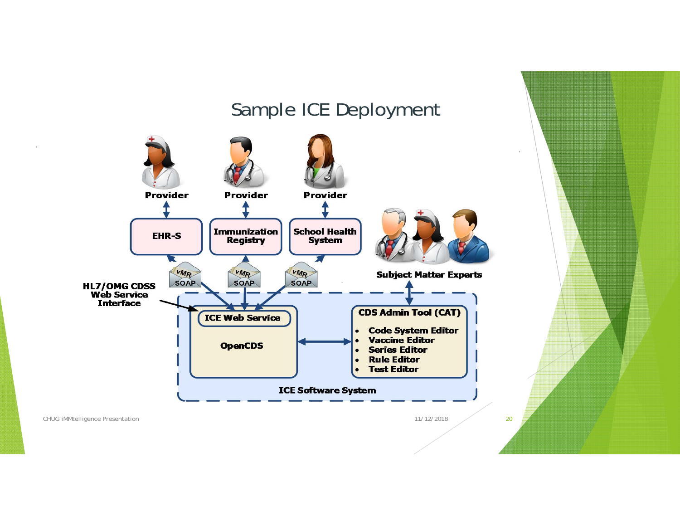#### Sample ICE Deployment



CHUG iMMtelligence Presentation 11/12/2018 20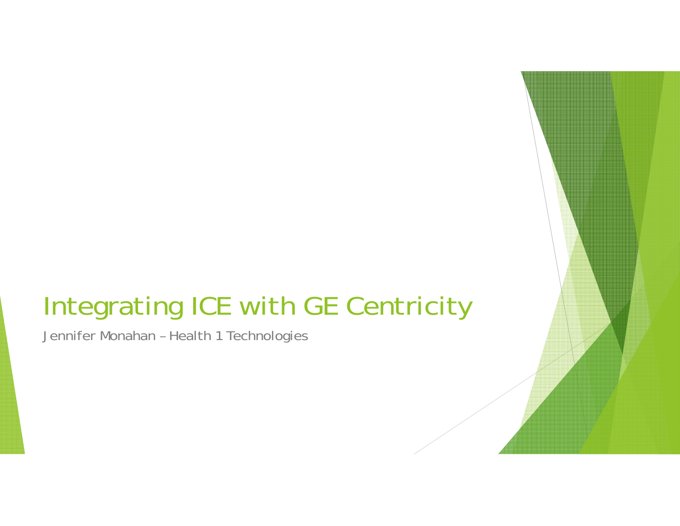# Integrating ICE with GE Centricity

Jennifer Monahan – Health 1 Technologies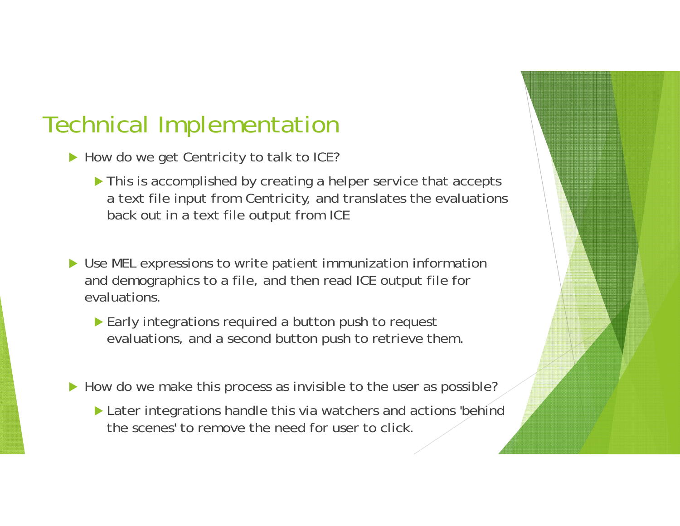### Technical Implementation

- ▶ How do we get Centricity to talk to ICE?
	- $\blacktriangleright$  This is accomplished by creating a helper service that accepts a text file input from Centricity, and translates the evaluations back out in a text file output from ICE
- ▶ Use MEL expressions to write patient immunization information and demographics to a file, and then read ICE output file for evaluations.
	- **Early integrations required a button push to request** evaluations, and a second button push to retrieve them.
- How do we make this process as invisible to the user as possible?
	- Later integrations handle this via watchers and actions 'behind the scenes' to remove the need for user to click.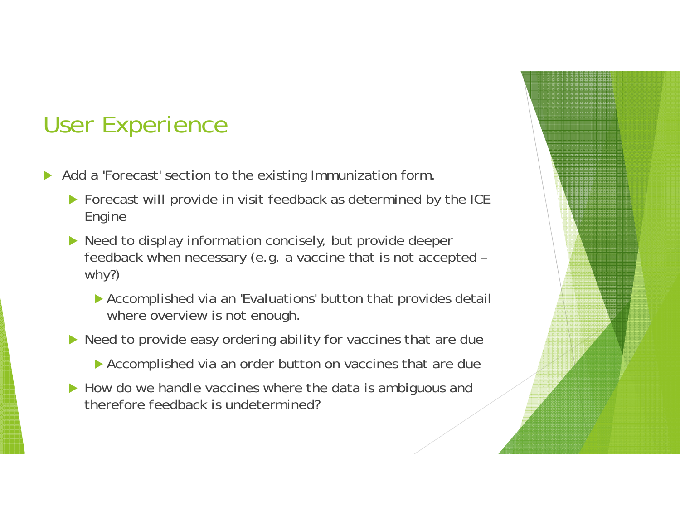## User Experience

- $\blacktriangleright$  Add a 'Forecast' section to the existing Immunization form.
	- Forecast will provide in visit feedback as determined by the ICE Engine
	- ▶ Need to display information concisely, but provide deeper feedback when necessary (e.g. a vaccine that is not accepted – why?)
		- Accomplished via an 'Evaluations' button that provides detail where overview is not enough.
	- ▶ Need to provide easy ordering ability for vaccines that are due
		- **Accomplished via an order button on vaccines that are due**
	- How do we handle vaccines where the data is ambiguous and therefore feedback is undetermined?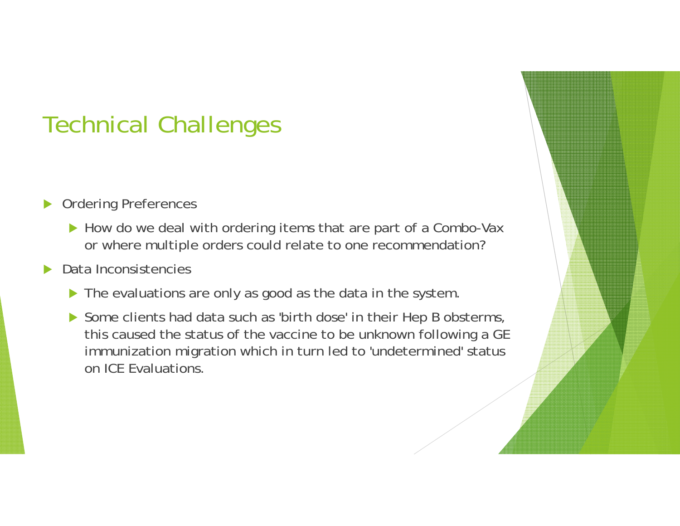## Technical Challenges

- $\blacktriangleright$  Ordering Preferences
	- ▶ How do we deal with ordering items that are part of a Combo-Vax or where multiple orders could relate to one recommendation?
- $\blacktriangleright$  Data Inconsistencies
	- The evaluations are only as good as the data in the system
	- Some clients had data such as 'birth dose' in their Hep B obsterms, this caused the status of the vaccine to be unknown following a GE immunization migration which in turn led to 'undetermined' status on ICE Evaluations.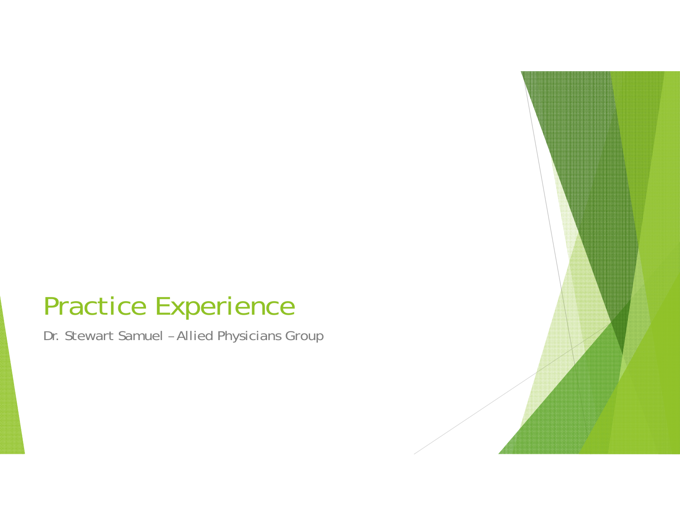# Practice Experience

Dr. Stewart Samuel – Allied Physicians Group

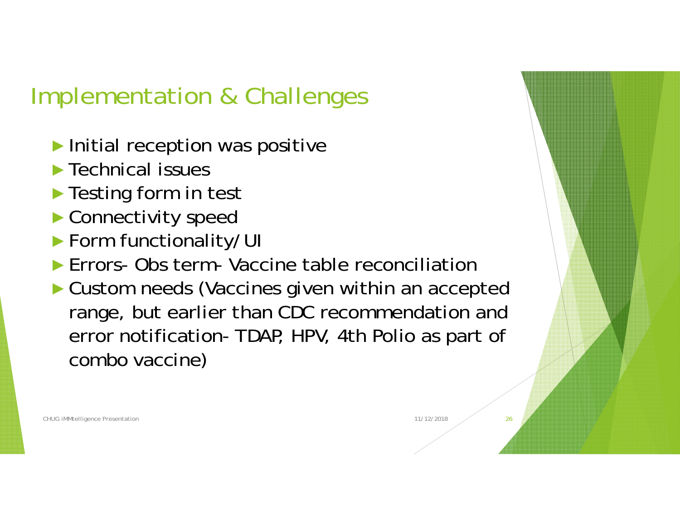## Implementation & Challenges

- ► Initial reception was positive
- ►Technical issues
- ► Testing form in test
- ►Connectivity speed
- ►Form functionality/UI
- ► Errors- Obs term- Vaccine table reconciliation
- ► Custom needs (Vaccines given within an accepted range, but earlier than CDC recommendation and error notification- TDAP, HPV, 4th Polio as part of combo vaccine)

CHUG iMMtelligence Presentation 26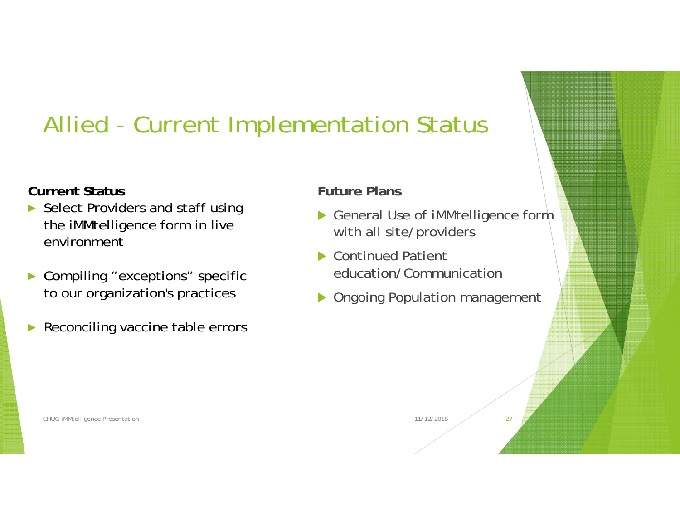## Allied - Current Implementation Status

#### **Current Status**

- ► Select Providers and staff using the iMMtelligence form in live environment
- ► Compiling "exceptions" specific to our organization's practices
- ►Reconciling vaccine table errors

#### **Future Plans**

- ▶ General Use of iMMtelligence form with all site/providers
- ▶ Continued Patient education/Communication
- **Diangle 20 Sepulation management**

CHUG iMMtelligence Presentation 27 and 2012 11/12/2018 27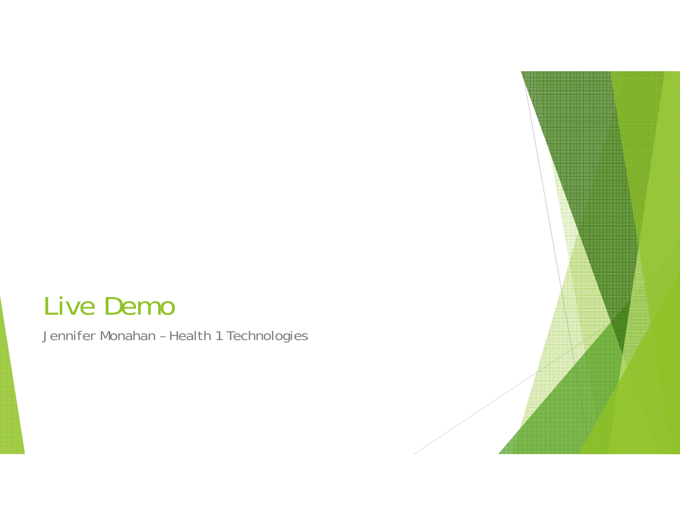#### Live Demo

Jennifer Monahan – Health 1 Technologies

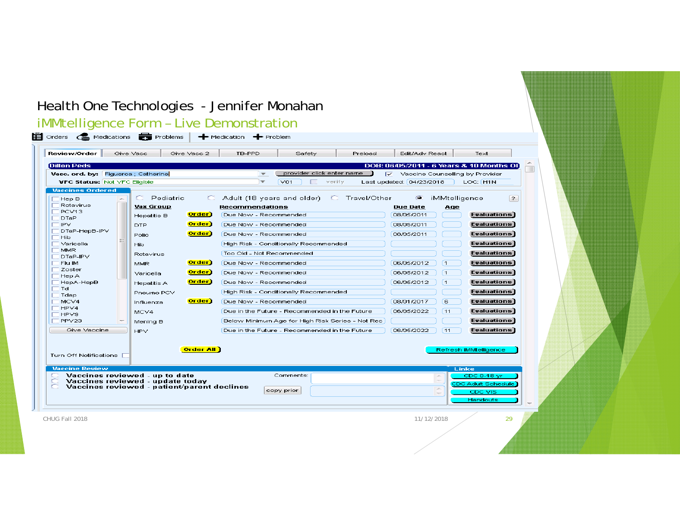#### Health One Technologies - Jennifer Monahan

#### iMMtelligence Form – Live Demonstration

| Review/Order                        | Give Vacc<br>Give Vacc 2                                           | TB-PPD                                                   | Safety                    | Preload        | Edit/Adv React                  |                                | Text                                     |
|-------------------------------------|--------------------------------------------------------------------|----------------------------------------------------------|---------------------------|----------------|---------------------------------|--------------------------------|------------------------------------------|
| <b>Dillon Peds</b>                  |                                                                    |                                                          |                           |                |                                 |                                | DOB: 06/05/2011 - 6 Years & 10 Months OI |
| Vacc. ord. by: Figueroa ; Catherine |                                                                    | $\overline{\phantom{a}}$                                 | provider click enter name | ☞              | Vaccine Counselling by Provider |                                |                                          |
| <b>VFC Status: Not VFC Eligible</b> |                                                                    | $\overline{\phantom{a}}$                                 | V <sub>01</sub>           | verify         | Last updated: 04/23/2018        |                                | LOC: H1N                                 |
| <b>Vaccines Ordered</b>             |                                                                    |                                                          |                           |                |                                 |                                |                                          |
| Hep B<br>×.<br>Rotavirus            | C Pediatric<br><b>Vax Group</b>                                    | $\circ$<br>Adult (18 years and older)<br>Recommendations |                           | C Travel/Other | $\bullet$<br><b>Due Date</b>    | iMMtelligence                  | $\left  \right.$ $\right $               |
| PCV <sub>13</sub>                   | Order)<br>Hepatitis B                                              | Due Now - Recommended                                    |                           |                | 08/05/2011                      | Age                            | <b>Evaluations</b>                       |
| <b>DTaP</b><br><b>IPV</b>           | Order)<br><b>DTP</b>                                               | Due Now - Recommended                                    |                           |                | 08/05/2011                      |                                | Evaluations                              |
| DTaP-HepB-IPV                       | Order)                                                             |                                                          |                           |                |                                 |                                |                                          |
| Hib                                 | Polio                                                              | Due Now - Recommended                                    |                           |                | 08/05/2011                      |                                | Evaluations                              |
| Varicella<br><b>MMR</b>             | <b>Hib</b>                                                         | High Risk - Conditionally Recommended                    |                           |                |                                 |                                | <b>Evaluations</b>                       |
| DTaP-IPV                            | Rotavirus                                                          | Too Old - Not Recommended                                |                           |                |                                 |                                | Evaluations                              |
| Flu IM<br>Zoster                    | Order)<br><b>MMR</b>                                               | Due Now - Recommended                                    |                           |                | 06/05/2012                      | $\vert$ 1                      | <b>Evaluations</b>                       |
| Hep A                               | Order)<br>Varicella                                                | Due Now - Recommended                                    |                           |                | 06/05/2012                      | [1                             | Evaluations                              |
| HepA-HepB                           | <b>Order</b> )<br><b>Hepatitis A</b>                               | Due Now - Recommended                                    |                           |                | 06/05/2012                      | $\blacksquare$                 | Evaluations                              |
| Td<br>Tdap                          | Pneumo PCV                                                         | High Risk - Conditionally Recommended                    |                           |                |                                 |                                | Evaluations                              |
| MCV4                                | Order)<br>Influenza                                                | Due Now - Recommended                                    |                           |                | 08/01/2017                      | 6                              | <b>Evaluations</b>                       |
| HPV4<br>HPV9                        | MCV4                                                               | Due in the Future - Recommended in the Future            |                           |                | 06/05/2022                      | 11                             | Evaluations                              |
| PPV23                               | Mening B                                                           | Below Minimum Age for High Risk Series - Not Rec         |                           |                |                                 |                                | <b>Evaluations</b>                       |
| Give Vaccine                        | <b>HPV</b>                                                         | Due in the Future - Recommended in the Future            |                           |                | 06/05/2022                      | 11                             | <b>Evaluations</b>                       |
|                                     |                                                                    |                                                          |                           |                |                                 |                                |                                          |
| Turn Off Notifications              | <b>Order All</b>                                                   |                                                          |                           |                |                                 |                                | Refresh iMMtelligence                    |
| <b>Vaccine Review</b>               |                                                                    |                                                          |                           |                |                                 | Links                          |                                          |
|                                     | Vaccines reviewed - up to date<br>Vaccines reviewed - update todav |                                                          | Comments:                 |                |                                 | a.<br>$\overline{\phantom{a}}$ | CDC 0-18 vr                              |
|                                     | Vaccines reviewed - patient/parent declines                        |                                                          |                           |                |                                 | ×.                             | CDC Adult Schedule                       |
|                                     |                                                                    |                                                          | copy prior                |                |                                 | $\sim$                         | CDC VIS                                  |

CHUG Fall 2018

11/12/2018 29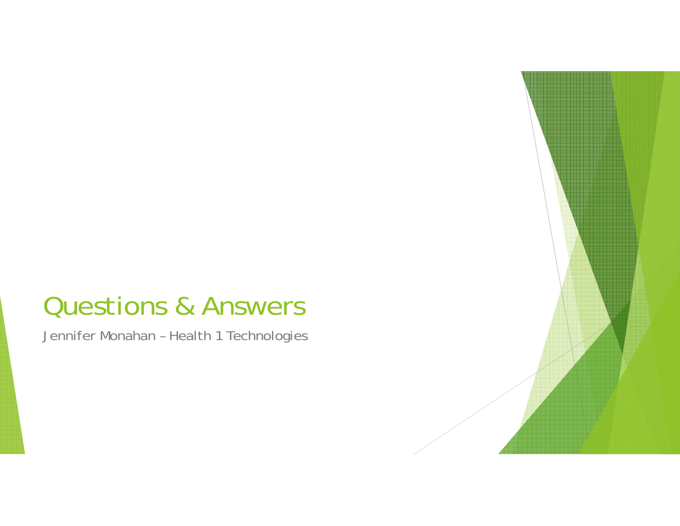### Questions & Answers

Jennifer Monahan – Health 1 Technologies